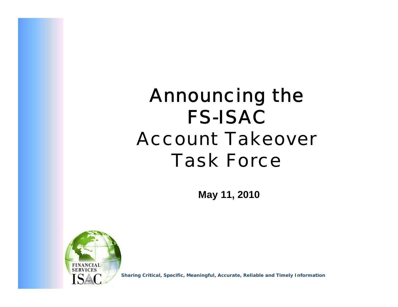# Announcing the FS-ISACAccount Takeover Task Force

**May 11, 2010**



**Sharing Critical, Specific, Meaningful, Accurate, Reliable and Timely Information**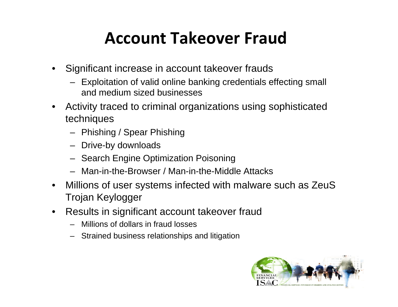## **Account Takeover Fraud**

- • Significant increase in account takeover frauds
	- Exploitation of valid online banking credentials effecting small and medium sized businesses
- • Activity traced to criminal organizations using sophisticated techniques
	- Phishing / Spear Phishing
	- Drive-by downloads
	- Search Engine Optimization Poisoning
	- Man-in-the-Browser / Man-in-the-Middle Attacks
- • Millions of user systems infected with malware such as ZeuS Trojan Keylogger
- • Results in significant account takeover fraud
	- Millions of dollars in fraud losses
	- Strained business relationships and litigation

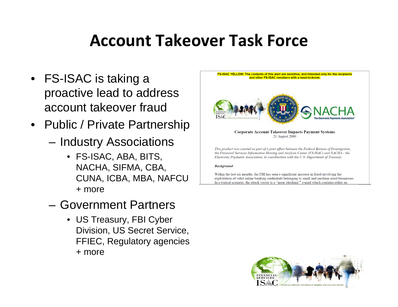## **Account Takeover Task Force**

- FS-ISAC is taking a proactive lead to address account takeover fraud
- • Public / Private Partnership
	- and the state of the Industry Associations
		- FS-ISAC, ABA, BITS, NACHA, SIFMA, CBA, CUNA, ICBA, MBA, NAFCU + more
	- Government Partners
		- US Treasury, FBI Cyber Division, US Secret Service, FFIEC, Regulatory agencies + more



#### **Corporate Account Takeover Impacts Payment Systems** 21 August 2009

This product was created as part of a joint effort between the Federal Bureau of Investigation. the Financial Services Information Sharing and Analysis Center (FS-ISAC) and NACHA - the Electronic Payments Association, in coordination with the U.S. Department of Treasury.

#### **Background**

Within the last six months, the FBI has seen a significant increase in fraud involving the exploitation of valid online banking credentials belonging to small and medium sized businesses. In a typical scenario, the attack vector is a "spear phishing"<sup>a</sup> e-mail which contains either an

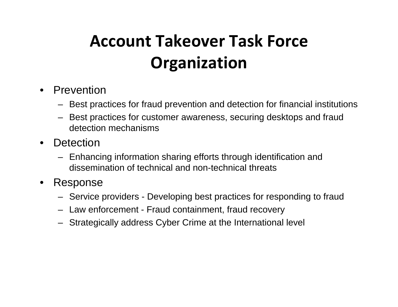## **Account Takeover Task ForceOrganization**

- Prevention
	- Best practices for fraud prevention and detection for financial institutions
	- – Best practices for customer awareness, securing desktops and fraud detection mechanisms
- Detection
	- Enhancing information sharing efforts through identification and dissemination of technical and non-technical threats
- $\bullet$  Response
	- Service providers Developing best practices for responding to fraud
	- Law enforcement Fraud containment, fraud recovery
	- Strategically address Cyber Crime at the International level